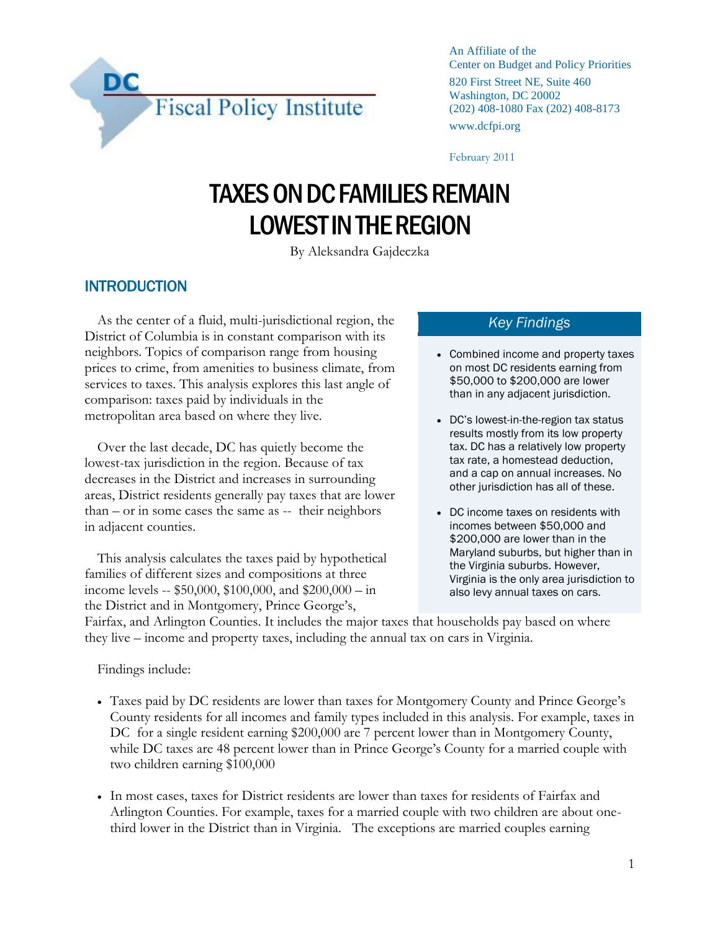

An Affiliate of the Center on Budget and Policy Priorities 820 First Street NE, Suite 460 Washington, DC 20002 (202) 408-1080 Fax (202) 408-8173 www.dcfpi.org

February 2011

# TAXES ON DC FAMILIES REMAIN LOWEST IN THE REGION

By Aleksandra Gajdeczka

# **INTRODUCTION**

As the center of a fluid, multi-jurisdictional region, the District of Columbia is in constant comparison with its neighbors. Topics of comparison range from housing prices to crime, from amenities to business climate, from services to taxes. This analysis explores this last angle of comparison: taxes paid by individuals in the metropolitan area based on where they live.

Over the last decade, DC has quietly become the lowest-tax jurisdiction in the region. Because of tax decreases in the District and increases in surrounding areas, District residents generally pay taxes that are lower than – or in some cases the same as -- their neighbors in adjacent counties.

This analysis calculates the taxes paid by hypothetical families of different sizes and compositions at three income levels -- \$50,000, \$100,000, and \$200,000 – in the District and in Montgomery, Prince George's,

#### *Key Findings*

- Combined income and property taxes on most DC residents earning from \$50,000 to \$200,000 are lower than in any adjacent jurisdiction.
- DC's lowest-in-the-region tax status results mostly from its low property tax. DC has a relatively low property tax rate, a homestead deduction, and a cap on annual increases. No other jurisdiction has all of these.
- DC income taxes on residents with incomes between \$50,000 and \$200,000 are lower than in the Maryland suburbs, but higher than in the Virginia suburbs. However, Virginia is the only area jurisdiction to also levy annual taxes on cars.

Fairfax, and Arlington Counties. It includes the major taxes that households pay based on where they live – income and property taxes, including the annual tax on cars in Virginia.

Findings include:

- Taxes paid by DC residents are lower than taxes for Montgomery County and Prince George's County residents for all incomes and family types included in this analysis. For example, taxes in DC for a single resident earning \$200,000 are 7 percent lower than in Montgomery County, while DC taxes are 48 percent lower than in Prince George's County for a married couple with two children earning \$100,000
- In most cases, taxes for District residents are lower than taxes for residents of Fairfax and Arlington Counties. For example, taxes for a married couple with two children are about onethird lower in the District than in Virginia. The exceptions are married couples earning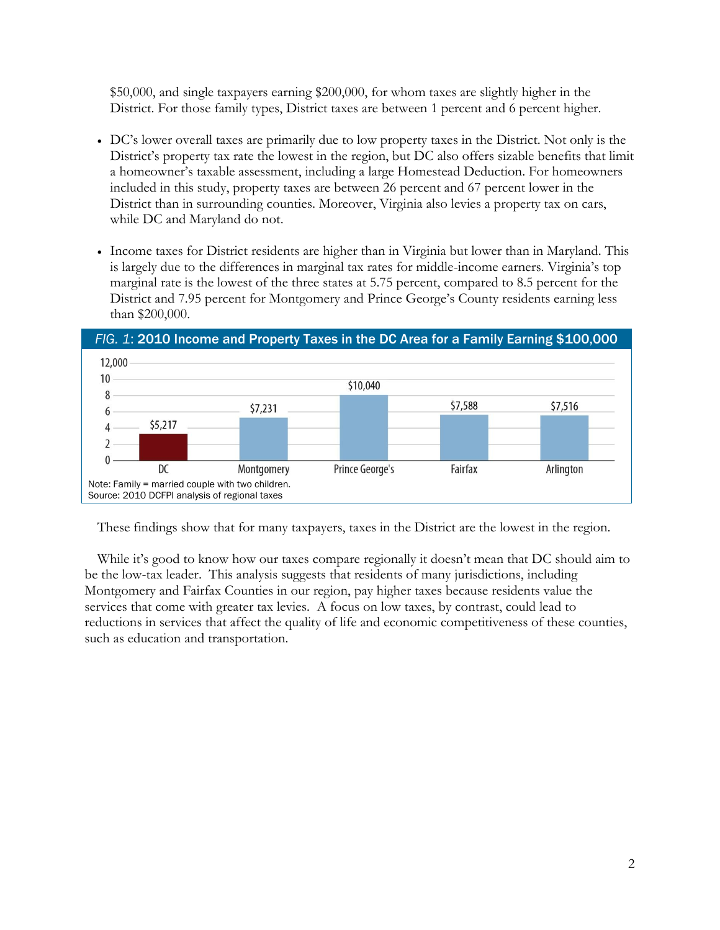\$50,000, and single taxpayers earning \$200,000, for whom taxes are slightly higher in the District. For those family types, District taxes are between 1 percent and 6 percent higher.

- DC's lower overall taxes are primarily due to low property taxes in the District. Not only is the District's property tax rate the lowest in the region, but DC also offers sizable benefits that limit a homeowner's taxable assessment, including a large Homestead Deduction. For homeowners included in this study, property taxes are between 26 percent and 67 percent lower in the District than in surrounding counties. Moreover, Virginia also levies a property tax on cars, while DC and Maryland do not.
- Income taxes for District residents are higher than in Virginia but lower than in Maryland. This is largely due to the differences in marginal tax rates for middle-income earners. Virginia's top marginal rate is the lowest of the three states at 5.75 percent, compared to 8.5 percent for the District and 7.95 percent for Montgomery and Prince George's County residents earning less than \$200,000.



These findings show that for many taxpayers, taxes in the District are the lowest in the region.

While it's good to know how our taxes compare regionally it doesn't mean that DC should aim to be the low-tax leader. This analysis suggests that residents of many jurisdictions, including Montgomery and Fairfax Counties in our region, pay higher taxes because residents value the services that come with greater tax levies. A focus on low taxes, by contrast, could lead to reductions in services that affect the quality of life and economic competitiveness of these counties, such as education and transportation.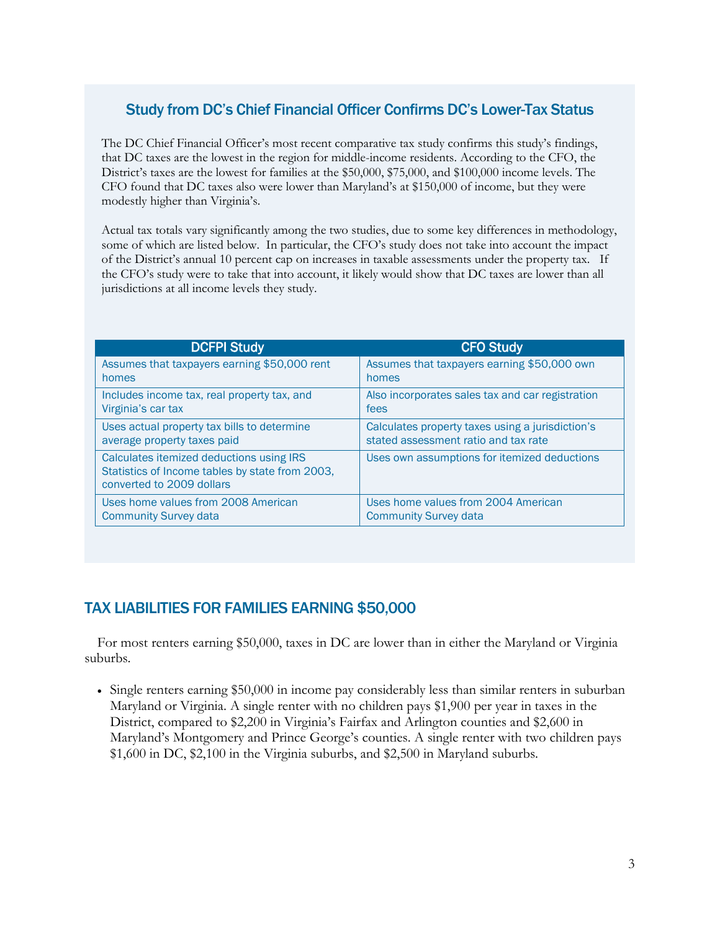# Study from DC's Chief Financial Officer Confirms DC's Lower-Tax Status

The DC Chief Financial Officer's most recent comparative tax study confirms this study's findings, that DC taxes are the lowest in the region for middle-income residents. According to the CFO, the District's taxes are the lowest for families at the \$50,000, \$75,000, and \$100,000 income levels. The CFO found that DC taxes also were lower than Maryland's at \$150,000 of income, but they were modestly higher than Virginia's.

Actual tax totals vary significantly among the two studies, due to some key differences in methodology, some of which are listed below. In particular, the CFO's study does not take into account the impact of the District's annual 10 percent cap on increases in taxable assessments under the property tax. If the CFO's study were to take that into account, it likely would show that DC taxes are lower than all jurisdictions at all income levels they study.

| <b>DCFPI Study</b>                                                                                                       | <b>CFO Study</b>                                 |
|--------------------------------------------------------------------------------------------------------------------------|--------------------------------------------------|
| Assumes that taxpayers earning \$50,000 rent                                                                             | Assumes that taxpayers earning \$50,000 own      |
| homes                                                                                                                    | homes                                            |
| Includes income tax, real property tax, and                                                                              | Also incorporates sales tax and car registration |
| Virginia's car tax                                                                                                       | fees                                             |
| Uses actual property tax bills to determine                                                                              | Calculates property taxes using a jurisdiction's |
| average property taxes paid                                                                                              | stated assessment ratio and tax rate             |
| Calculates itemized deductions using IRS<br>Statistics of Income tables by state from 2003,<br>converted to 2009 dollars | Uses own assumptions for itemized deductions     |
| Uses home values from 2008 American                                                                                      | Uses home values from 2004 American              |
| <b>Community Survey data</b>                                                                                             | <b>Community Survey data</b>                     |

# TAX LIABILITIES FOR FAMILIES EARNING \$50,000

For most renters earning \$50,000, taxes in DC are lower than in either the Maryland or Virginia suburbs.

• Single renters earning \$50,000 in income pay considerably less than similar renters in suburban Maryland or Virginia. A single renter with no children pays \$1,900 per year in taxes in the District, compared to \$2,200 in Virginia's Fairfax and Arlington counties and \$2,600 in Maryland's Montgomery and Prince George's counties. A single renter with two children pays \$1,600 in DC, \$2,100 in the Virginia suburbs, and \$2,500 in Maryland suburbs.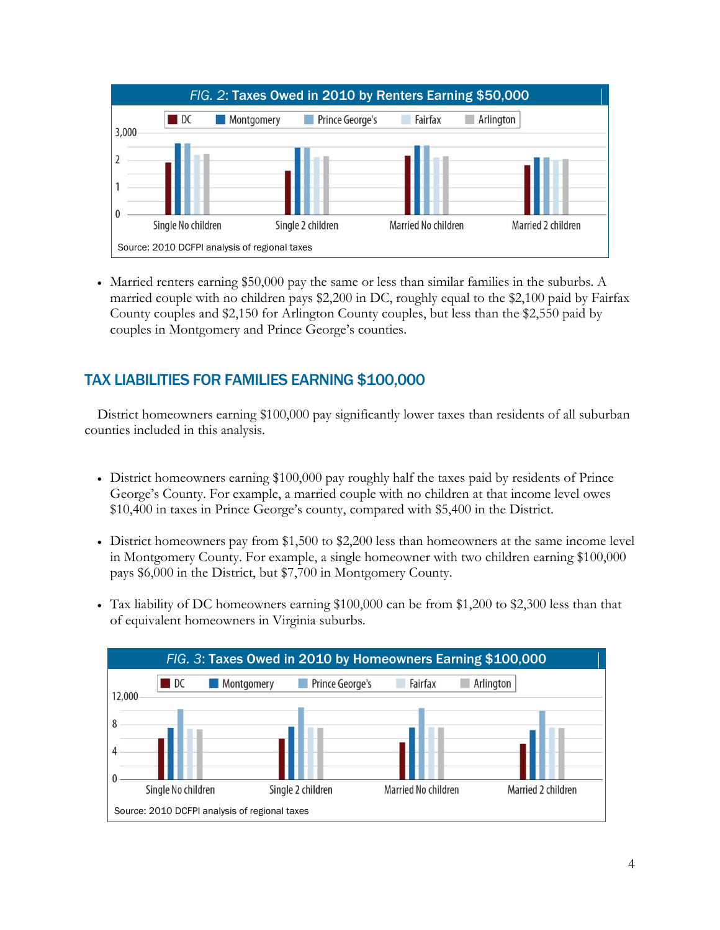

 Married renters earning \$50,000 pay the same or less than similar families in the suburbs. A married couple with no children pays \$2,200 in DC, roughly equal to the \$2,100 paid by Fairfax County couples and \$2,150 for Arlington County couples, but less than the \$2,550 paid by couples in Montgomery and Prince George's counties.

# TAX LIABILITIES FOR FAMILIES EARNING \$100,000

District homeowners earning \$100,000 pay significantly lower taxes than residents of all suburban counties included in this analysis.

- District homeowners earning \$100,000 pay roughly half the taxes paid by residents of Prince George's County. For example, a married couple with no children at that income level owes \$10,400 in taxes in Prince George's county, compared with \$5,400 in the District.
- District homeowners pay from \$1,500 to \$2,200 less than homeowners at the same income level in Montgomery County. For example, a single homeowner with two children earning \$100,000 pays \$6,000 in the District, but \$7,700 in Montgomery County.
- Tax liability of DC homeowners earning \$100,000 can be from \$1,200 to \$2,300 less than that of equivalent homeowners in Virginia suburbs.

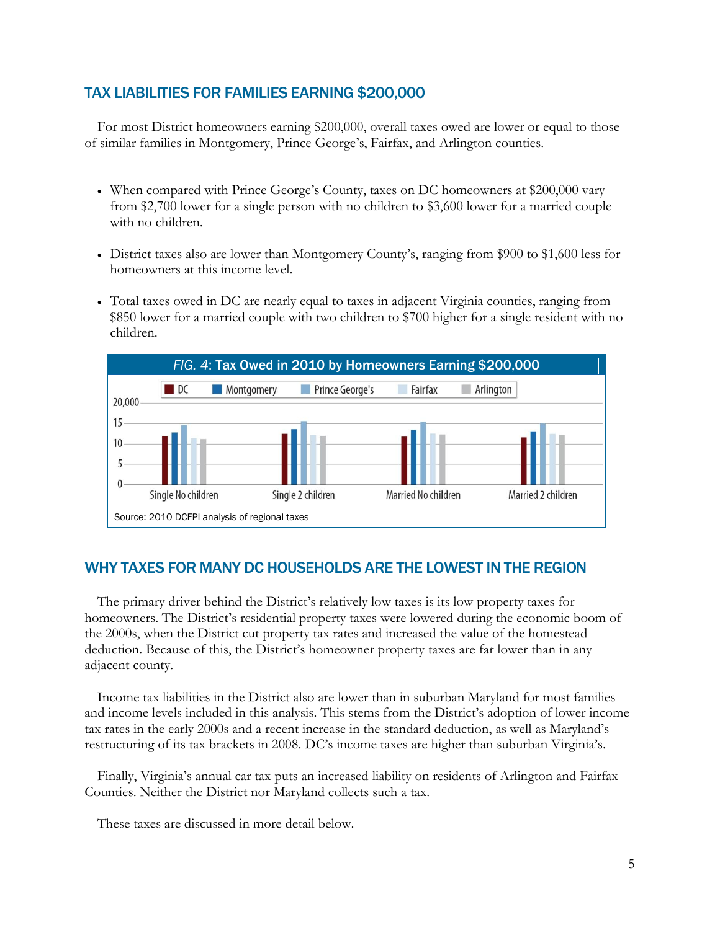## TAX LIABILITIES FOR FAMILIES EARNING \$200,000

For most District homeowners earning \$200,000, overall taxes owed are lower or equal to those of similar families in Montgomery, Prince George's, Fairfax, and Arlington counties.

- When compared with Prince George's County, taxes on DC homeowners at \$200,000 vary from \$2,700 lower for a single person with no children to \$3,600 lower for a married couple with no children.
- District taxes also are lower than Montgomery County's, ranging from \$900 to \$1,600 less for homeowners at this income level.
- Total taxes owed in DC are nearly equal to taxes in adjacent Virginia counties, ranging from \$850 lower for a married couple with two children to \$700 higher for a single resident with no children.



## WHY TAXES FOR MANY DC HOUSEHOLDS ARE THE LOWEST IN THE REGION

The primary driver behind the District's relatively low taxes is its low property taxes for homeowners. The District's residential property taxes were lowered during the economic boom of the 2000s, when the District cut property tax rates and increased the value of the homestead deduction. Because of this, the District's homeowner property taxes are far lower than in any adjacent county.

Income tax liabilities in the District also are lower than in suburban Maryland for most families and income levels included in this analysis. This stems from the District's adoption of lower income tax rates in the early 2000s and a recent increase in the standard deduction, as well as Maryland's restructuring of its tax brackets in 2008. DC's income taxes are higher than suburban Virginia's.

Finally, Virginia's annual car tax puts an increased liability on residents of Arlington and Fairfax Counties. Neither the District nor Maryland collects such a tax.

These taxes are discussed in more detail below.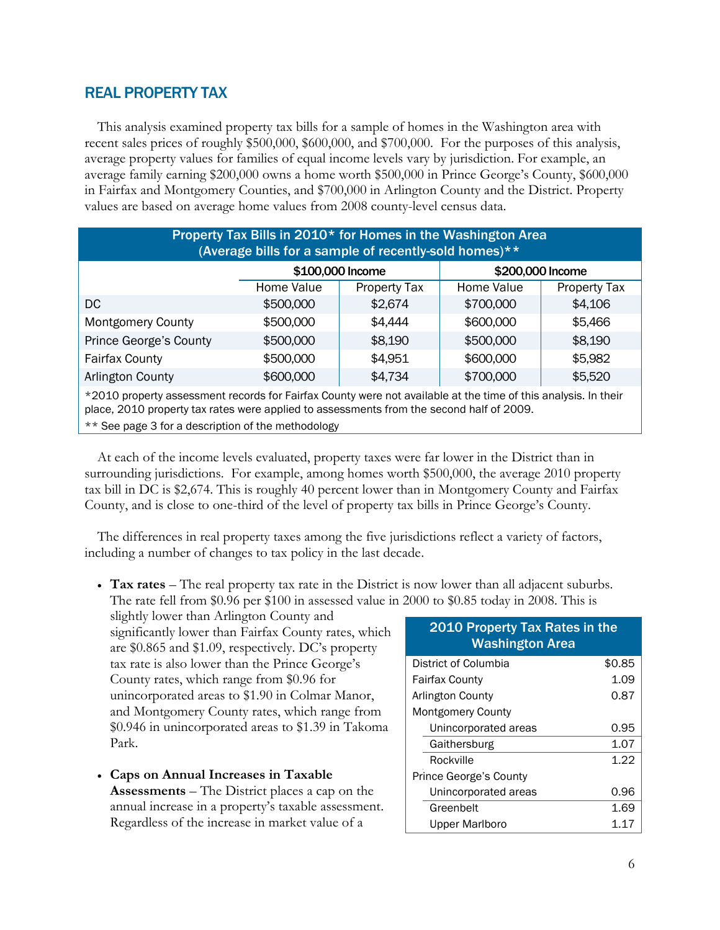## REAL PROPERTY TAX

This analysis examined property tax bills for a sample of homes in the Washington area with recent sales prices of roughly \$500,000, \$600,000, and \$700,000. For the purposes of this analysis, average property values for families of equal income levels vary by jurisdiction. For example, an average family earning \$200,000 owns a home worth \$500,000 in Prince George's County, \$600,000 in Fairfax and Montgomery Counties, and \$700,000 in Arlington County and the District. Property values are based on average home values from 2008 county-level census data.

| Property Tax Bills in 2010* for Homes in the Washington Area<br>(Average bills for a sample of recently-sold homes)** |                                          |                  |                  |         |  |
|-----------------------------------------------------------------------------------------------------------------------|------------------------------------------|------------------|------------------|---------|--|
|                                                                                                                       |                                          | \$100,000 Income | \$200,000 Income |         |  |
|                                                                                                                       | Property Tax<br>Home Value<br>Home Value |                  |                  |         |  |
| DC                                                                                                                    | \$500,000                                | \$2,674          | \$700,000        | \$4,106 |  |
| <b>Montgomery County</b>                                                                                              | \$500,000                                | \$4,444          | \$600,000        | \$5,466 |  |
| Prince George's County<br>\$500,000<br>\$500,000<br>\$8,190<br>\$8,190                                                |                                          |                  |                  |         |  |
| <b>Fairfax County</b>                                                                                                 | \$500,000                                | \$4,951          | \$600,000        | \$5,982 |  |
| Arlington County                                                                                                      | \$600,000                                | \$4,734          | \$700,000        | \$5,520 |  |
| *2010 property assessment records for Fairfax County were not available at the time of this analysis. In their        |                                          |                  |                  |         |  |

place, 2010 property tax rates were applied to assessments from the second half of 2009.

\*\* See page 3 for a description of the methodology

At each of the income levels evaluated, property taxes were far lower in the District than in surrounding jurisdictions. For example, among homes worth \$500,000, the average 2010 property tax bill in DC is \$2,674. This is roughly 40 percent lower than in Montgomery County and Fairfax County, and is close to one-third of the level of property tax bills in Prince George's County.

The differences in real property taxes among the five jurisdictions reflect a variety of factors, including a number of changes to tax policy in the last decade.

 **Tax rates** – The real property tax rate in the District is now lower than all adjacent suburbs. The rate fell from \$0.96 per \$100 in assessed value in 2000 to \$0.85 today in 2008. This is

slightly lower than Arlington County and significantly lower than Fairfax County rates, which are \$0.865 and \$1.09, respectively. DC's property tax rate is also lower than the Prince George's County rates, which range from \$0.96 for unincorporated areas to \$1.90 in Colmar Manor, and Montgomery County rates, which range from \$0.946 in unincorporated areas to \$1.39 in Takoma Park.

 **Caps on Annual Increases in Taxable Assessments** – The District places a cap on the annual increase in a property's taxable assessment. Regardless of the increase in market value of a

## 2010 Property Tax Rates in the Washington Area District of Columbia  $$0.85$ Fairfax County 1.09 Arlington County **6.87** Montgomery County Unincorporated areas 0.95 Gaithersburg 1.07 Rockville 1.22 Prince George's County Unincorporated areas 0.96 Greenbelt 1.69 Upper Marlboro 1.17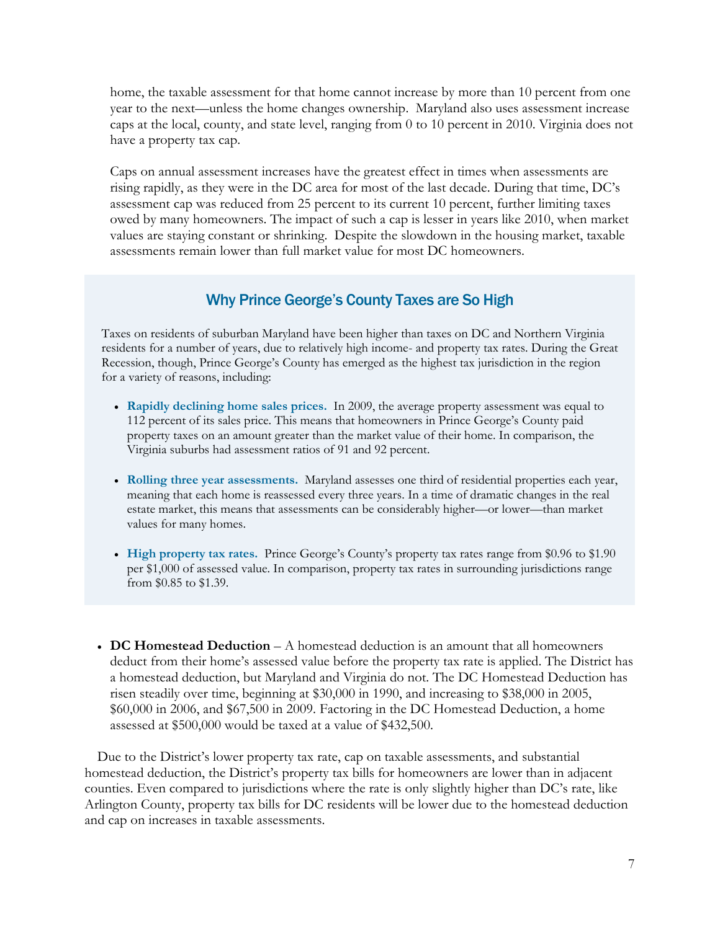home, the taxable assessment for that home cannot increase by more than 10 percent from one year to the next—unless the home changes ownership. Maryland also uses assessment increase caps at the local, county, and state level, ranging from 0 to 10 percent in 2010. Virginia does not have a property tax cap.

Caps on annual assessment increases have the greatest effect in times when assessments are rising rapidly, as they were in the DC area for most of the last decade. During that time, DC's assessment cap was reduced from 25 percent to its current 10 percent, further limiting taxes owed by many homeowners. The impact of such a cap is lesser in years like 2010, when market values are staying constant or shrinking. Despite the slowdown in the housing market, taxable assessments remain lower than full market value for most DC homeowners.

## Why Prince George's County Taxes are So High

Taxes on residents of suburban Maryland have been higher than taxes on DC and Northern Virginia residents for a number of years, due to relatively high income- and property tax rates. During the Great Recession, though, Prince George's County has emerged as the highest tax jurisdiction in the region for a variety of reasons, including:

- **Rapidly declining home sales prices.** In 2009, the average property assessment was equal to 112 percent of its sales price. This means that homeowners in Prince George's County paid property taxes on an amount greater than the market value of their home. In comparison, the Virginia suburbs had assessment ratios of 91 and 92 percent.
- **Rolling three year assessments.** Maryland assesses one third of residential properties each year, meaning that each home is reassessed every three years. In a time of dramatic changes in the real estate market, this means that assessments can be considerably higher—or lower—than market values for many homes.
- **High property tax rates.** Prince George's County's property tax rates range from \$0.96 to \$1.90 per \$1,000 of assessed value. In comparison, property tax rates in surrounding jurisdictions range from \$0.85 to \$1.39.
- **DC Homestead Deduction** A homestead deduction is an amount that all homeowners deduct from their home's assessed value before the property tax rate is applied. The District has a homestead deduction, but Maryland and Virginia do not. The DC Homestead Deduction has risen steadily over time, beginning at \$30,000 in 1990, and increasing to \$38,000 in 2005, \$60,000 in 2006, and \$67,500 in 2009. Factoring in the DC Homestead Deduction, a home assessed at \$500,000 would be taxed at a value of \$432,500.

Due to the District's lower property tax rate, cap on taxable assessments, and substantial homestead deduction, the District's property tax bills for homeowners are lower than in adjacent counties. Even compared to jurisdictions where the rate is only slightly higher than DC's rate, like Arlington County, property tax bills for DC residents will be lower due to the homestead deduction and cap on increases in taxable assessments.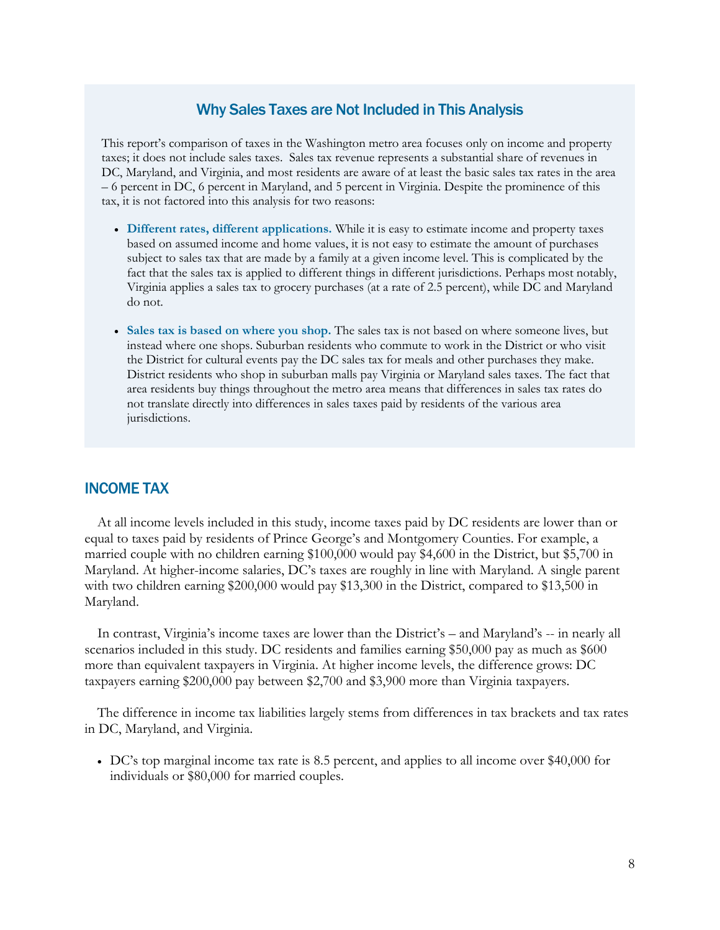#### Why Sales Taxes are Not Included in This Analysis

This report's comparison of taxes in the Washington metro area focuses only on income and property taxes; it does not include sales taxes. Sales tax revenue represents a substantial share of revenues in DC, Maryland, and Virginia, and most residents are aware of at least the basic sales tax rates in the area – 6 percent in DC, 6 percent in Maryland, and 5 percent in Virginia. Despite the prominence of this tax, it is not factored into this analysis for two reasons:

- **Different rates, different applications.** While it is easy to estimate income and property taxes based on assumed income and home values, it is not easy to estimate the amount of purchases subject to sales tax that are made by a family at a given income level. This is complicated by the fact that the sales tax is applied to different things in different jurisdictions. Perhaps most notably, Virginia applies a sales tax to grocery purchases (at a rate of 2.5 percent), while DC and Maryland do not.
- **Sales tax is based on where you shop.** The sales tax is not based on where someone lives, but instead where one shops. Suburban residents who commute to work in the District or who visit the District for cultural events pay the DC sales tax for meals and other purchases they make. District residents who shop in suburban malls pay Virginia or Maryland sales taxes. The fact that area residents buy things throughout the metro area means that differences in sales tax rates do not translate directly into differences in sales taxes paid by residents of the various area jurisdictions.

#### INCOME TAX

At all income levels included in this study, income taxes paid by DC residents are lower than or equal to taxes paid by residents of Prince George's and Montgomery Counties. For example, a married couple with no children earning \$100,000 would pay \$4,600 in the District, but \$5,700 in Maryland. At higher-income salaries, DC's taxes are roughly in line with Maryland. A single parent with two children earning \$200,000 would pay \$13,300 in the District, compared to \$13,500 in Maryland.

In contrast, Virginia's income taxes are lower than the District's – and Maryland's -- in nearly all scenarios included in this study. DC residents and families earning \$50,000 pay as much as \$600 more than equivalent taxpayers in Virginia. At higher income levels, the difference grows: DC taxpayers earning \$200,000 pay between \$2,700 and \$3,900 more than Virginia taxpayers.

The difference in income tax liabilities largely stems from differences in tax brackets and tax rates in DC, Maryland, and Virginia.

 DC's top marginal income tax rate is 8.5 percent, and applies to all income over \$40,000 for individuals or \$80,000 for married couples.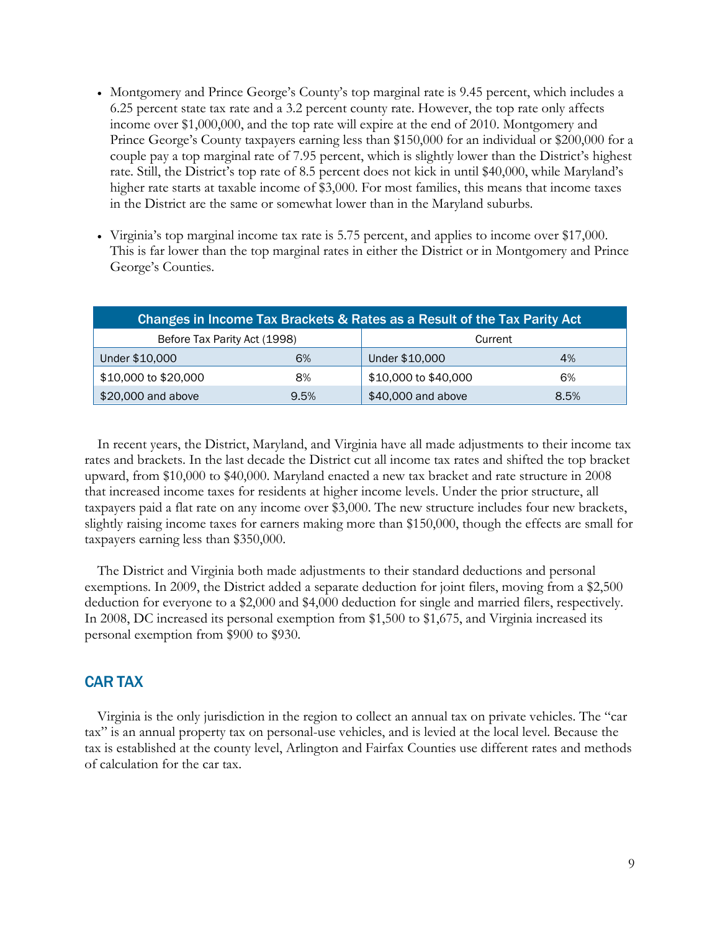- Montgomery and Prince George's County's top marginal rate is 9.45 percent, which includes a 6.25 percent state tax rate and a 3.2 percent county rate. However, the top rate only affects income over \$1,000,000, and the top rate will expire at the end of 2010. Montgomery and Prince George's County taxpayers earning less than \$150,000 for an individual or \$200,000 for a couple pay a top marginal rate of 7.95 percent, which is slightly lower than the District's highest rate. Still, the District's top rate of 8.5 percent does not kick in until \$40,000, while Maryland's higher rate starts at taxable income of \$3,000. For most families, this means that income taxes in the District are the same or somewhat lower than in the Maryland suburbs.
- Virginia's top marginal income tax rate is 5.75 percent, and applies to income over \$17,000. This is far lower than the top marginal rates in either the District or in Montgomery and Prince George's Counties.

| Changes in Income Tax Brackets & Rates as a Result of the Tax Parity Act |      |                      |      |  |  |
|--------------------------------------------------------------------------|------|----------------------|------|--|--|
| Before Tax Parity Act (1998)<br>Current                                  |      |                      |      |  |  |
| Under \$10,000                                                           | 6%   | Under \$10,000       | 4%   |  |  |
| \$10,000 to \$20,000                                                     | 8%   | \$10,000 to \$40,000 | 6%   |  |  |
| \$20,000 and above                                                       | 9.5% | \$40,000 and above   | 8.5% |  |  |

In recent years, the District, Maryland, and Virginia have all made adjustments to their income tax rates and brackets. In the last decade the District cut all income tax rates and shifted the top bracket upward, from \$10,000 to \$40,000. Maryland enacted a new tax bracket and rate structure in 2008 that increased income taxes for residents at higher income levels. Under the prior structure, all taxpayers paid a flat rate on any income over \$3,000. The new structure includes four new brackets, slightly raising income taxes for earners making more than \$150,000, though the effects are small for taxpayers earning less than \$350,000.

The District and Virginia both made adjustments to their standard deductions and personal exemptions. In 2009, the District added a separate deduction for joint filers, moving from a \$2,500 deduction for everyone to a \$2,000 and \$4,000 deduction for single and married filers, respectively. In 2008, DC increased its personal exemption from \$1,500 to \$1,675, and Virginia increased its personal exemption from \$900 to \$930.

#### CAR TAX

Virginia is the only jurisdiction in the region to collect an annual tax on private vehicles. The "car tax‖ is an annual property tax on personal-use vehicles, and is levied at the local level. Because the tax is established at the county level, Arlington and Fairfax Counties use different rates and methods of calculation for the car tax.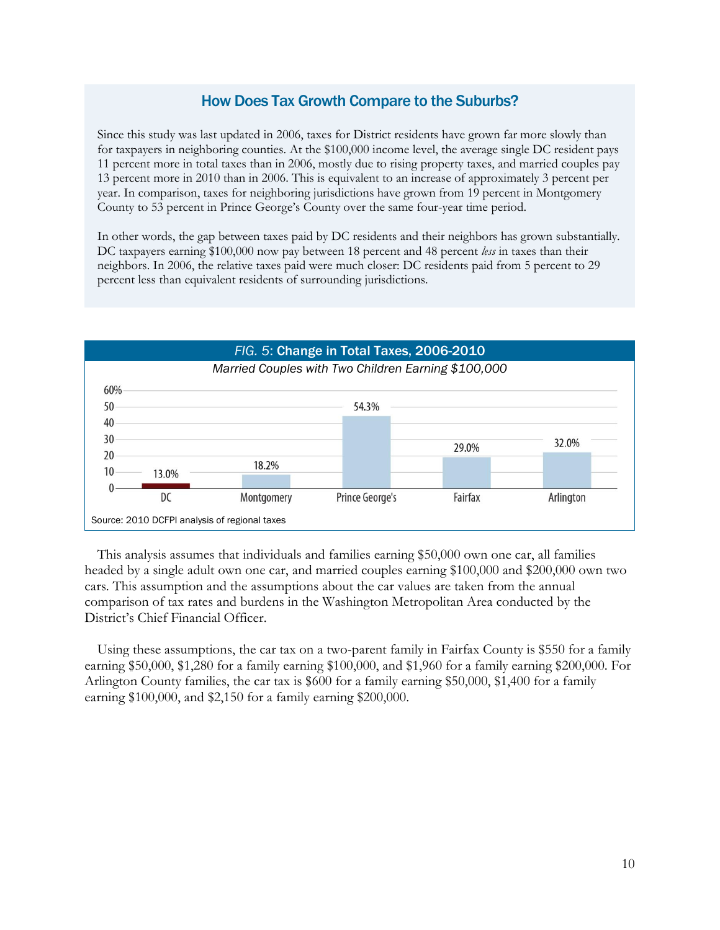## How Does Tax Growth Compare to the Suburbs?

Since this study was last updated in 2006, taxes for District residents have grown far more slowly than for taxpayers in neighboring counties. At the \$100,000 income level, the average single DC resident pays 11 percent more in total taxes than in 2006, mostly due to rising property taxes, and married couples pay 13 percent more in 2010 than in 2006. This is equivalent to an increase of approximately 3 percent per year. In comparison, taxes for neighboring jurisdictions have grown from 19 percent in Montgomery County to 53 percent in Prince George's County over the same four-year time period.

In other words, the gap between taxes paid by DC residents and their neighbors has grown substantially. DC taxpayers earning \$100,000 now pay between 18 percent and 48 percent *less* in taxes than their neighbors. In 2006, the relative taxes paid were much closer: DC residents paid from 5 percent to 29 percent less than equivalent residents of surrounding jurisdictions.



This analysis assumes that individuals and families earning \$50,000 own one car, all families headed by a single adult own one car, and married couples earning \$100,000 and \$200,000 own two cars. This assumption and the assumptions about the car values are taken from the annual comparison of tax rates and burdens in the Washington Metropolitan Area conducted by the District's Chief Financial Officer.

Using these assumptions, the car tax on a two-parent family in Fairfax County is \$550 for a family earning \$50,000, \$1,280 for a family earning \$100,000, and \$1,960 for a family earning \$200,000. For Arlington County families, the car tax is \$600 for a family earning \$50,000, \$1,400 for a family earning \$100,000, and \$2,150 for a family earning \$200,000.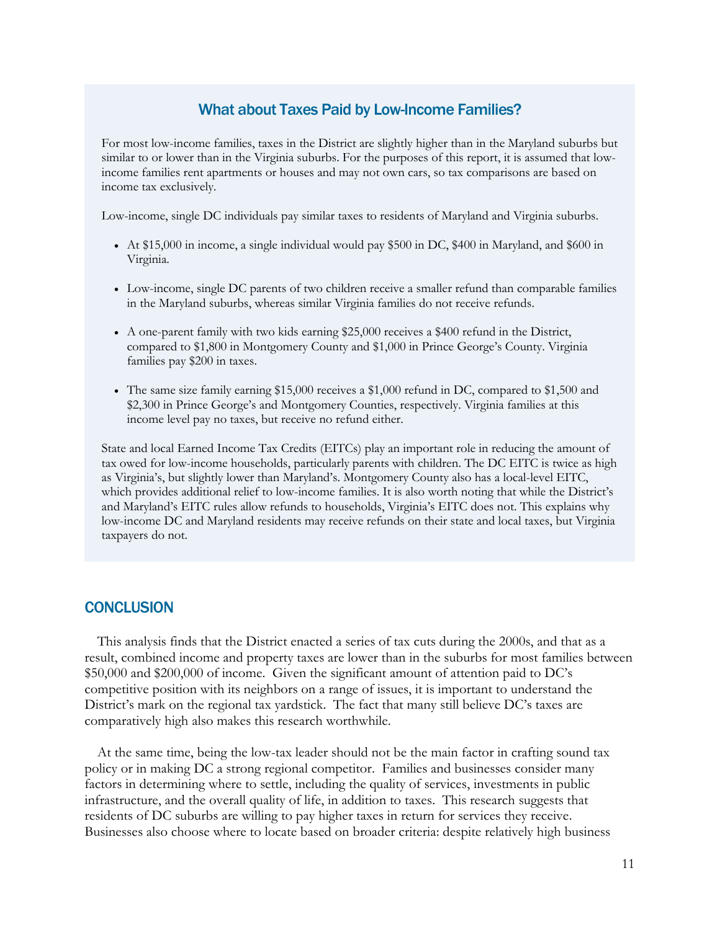#### What about Taxes Paid by Low-Income Families?

For most low-income families, taxes in the District are slightly higher than in the Maryland suburbs but similar to or lower than in the Virginia suburbs. For the purposes of this report, it is assumed that lowincome families rent apartments or houses and may not own cars, so tax comparisons are based on income tax exclusively.

Low-income, single DC individuals pay similar taxes to residents of Maryland and Virginia suburbs.

- At \$15,000 in income, a single individual would pay \$500 in DC, \$400 in Maryland, and \$600 in Virginia.
- Low-income, single DC parents of two children receive a smaller refund than comparable families in the Maryland suburbs, whereas similar Virginia families do not receive refunds.
- A one-parent family with two kids earning \$25,000 receives a \$400 refund in the District, compared to \$1,800 in Montgomery County and \$1,000 in Prince George's County. Virginia families pay \$200 in taxes.
- The same size family earning \$15,000 receives a \$1,000 refund in DC, compared to \$1,500 and \$2,300 in Prince George's and Montgomery Counties, respectively. Virginia families at this income level pay no taxes, but receive no refund either.

State and local Earned Income Tax Credits (EITCs) play an important role in reducing the amount of tax owed for low-income households, particularly parents with children. The DC EITC is twice as high as Virginia's, but slightly lower than Maryland's. Montgomery County also has a local-level EITC, which provides additional relief to low-income families. It is also worth noting that while the District's and Maryland's EITC rules allow refunds to households, Virginia's EITC does not. This explains why low-income DC and Maryland residents may receive refunds on their state and local taxes, but Virginia taxpayers do not.

#### **CONCLUSION**

This analysis finds that the District enacted a series of tax cuts during the 2000s, and that as a result, combined income and property taxes are lower than in the suburbs for most families between \$50,000 and \$200,000 of income. Given the significant amount of attention paid to DC's competitive position with its neighbors on a range of issues, it is important to understand the District's mark on the regional tax yardstick. The fact that many still believe DC's taxes are comparatively high also makes this research worthwhile.

At the same time, being the low-tax leader should not be the main factor in crafting sound tax policy or in making DC a strong regional competitor. Families and businesses consider many factors in determining where to settle, including the quality of services, investments in public infrastructure, and the overall quality of life, in addition to taxes. This research suggests that residents of DC suburbs are willing to pay higher taxes in return for services they receive. Businesses also choose where to locate based on broader criteria: despite relatively high business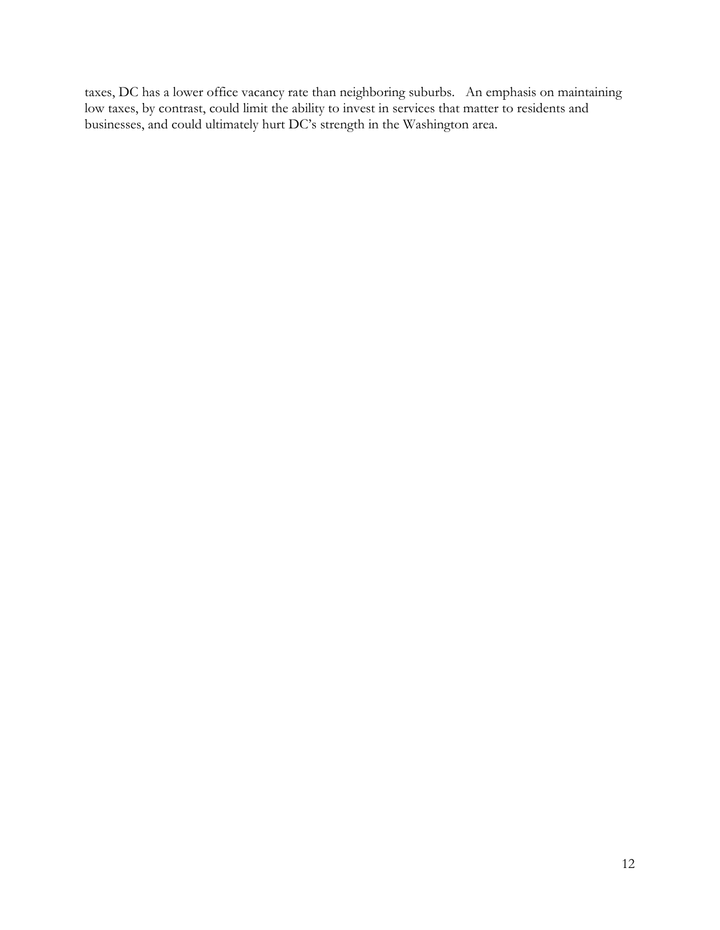taxes, DC has a lower office vacancy rate than neighboring suburbs. An emphasis on maintaining low taxes, by contrast, could limit the ability to invest in services that matter to residents and businesses, and could ultimately hurt DC's strength in the Washington area.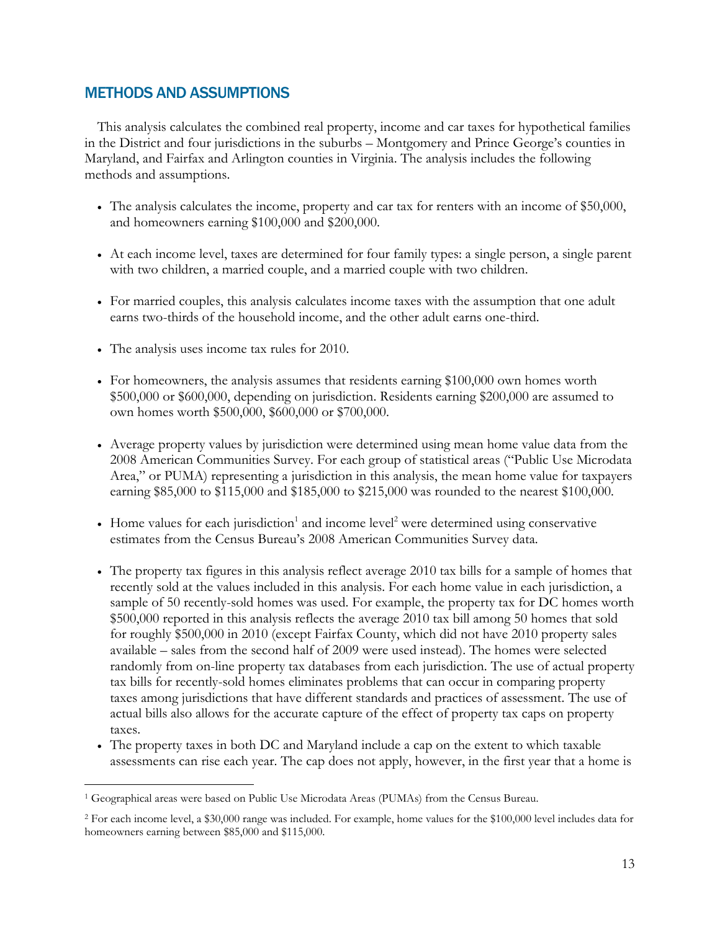## METHODS AND ASSUMPTIONS

This analysis calculates the combined real property, income and car taxes for hypothetical families in the District and four jurisdictions in the suburbs – Montgomery and Prince George's counties in Maryland, and Fairfax and Arlington counties in Virginia. The analysis includes the following methods and assumptions.

- The analysis calculates the income, property and car tax for renters with an income of \$50,000, and homeowners earning \$100,000 and \$200,000.
- At each income level, taxes are determined for four family types: a single person, a single parent with two children, a married couple, and a married couple with two children.
- For married couples, this analysis calculates income taxes with the assumption that one adult earns two-thirds of the household income, and the other adult earns one-third.
- The analysis uses income tax rules for 2010.

 $\overline{a}$ 

- For homeowners, the analysis assumes that residents earning \$100,000 own homes worth \$500,000 or \$600,000, depending on jurisdiction. Residents earning \$200,000 are assumed to own homes worth \$500,000, \$600,000 or \$700,000.
- Average property values by jurisdiction were determined using mean home value data from the 2008 American Communities Survey. For each group of statistical areas ("Public Use Microdata Area," or PUMA) representing a jurisdiction in this analysis, the mean home value for taxpayers earning \$85,000 to \$115,000 and \$185,000 to \$215,000 was rounded to the nearest \$100,000.
- Home values for each jurisdiction<sup>1</sup> and income level<sup>2</sup> were determined using conservative estimates from the Census Bureau's 2008 American Communities Survey data.
- The property tax figures in this analysis reflect average 2010 tax bills for a sample of homes that recently sold at the values included in this analysis. For each home value in each jurisdiction, a sample of 50 recently-sold homes was used. For example, the property tax for DC homes worth \$500,000 reported in this analysis reflects the average 2010 tax bill among 50 homes that sold for roughly \$500,000 in 2010 (except Fairfax County, which did not have 2010 property sales available – sales from the second half of 2009 were used instead). The homes were selected randomly from on-line property tax databases from each jurisdiction. The use of actual property tax bills for recently-sold homes eliminates problems that can occur in comparing property taxes among jurisdictions that have different standards and practices of assessment. The use of actual bills also allows for the accurate capture of the effect of property tax caps on property taxes.
- The property taxes in both DC and Maryland include a cap on the extent to which taxable assessments can rise each year. The cap does not apply, however, in the first year that a home is

<sup>1</sup> Geographical areas were based on Public Use Microdata Areas (PUMAs) from the Census Bureau.

<sup>2</sup> For each income level, a \$30,000 range was included. For example, home values for the \$100,000 level includes data for homeowners earning between \$85,000 and \$115,000.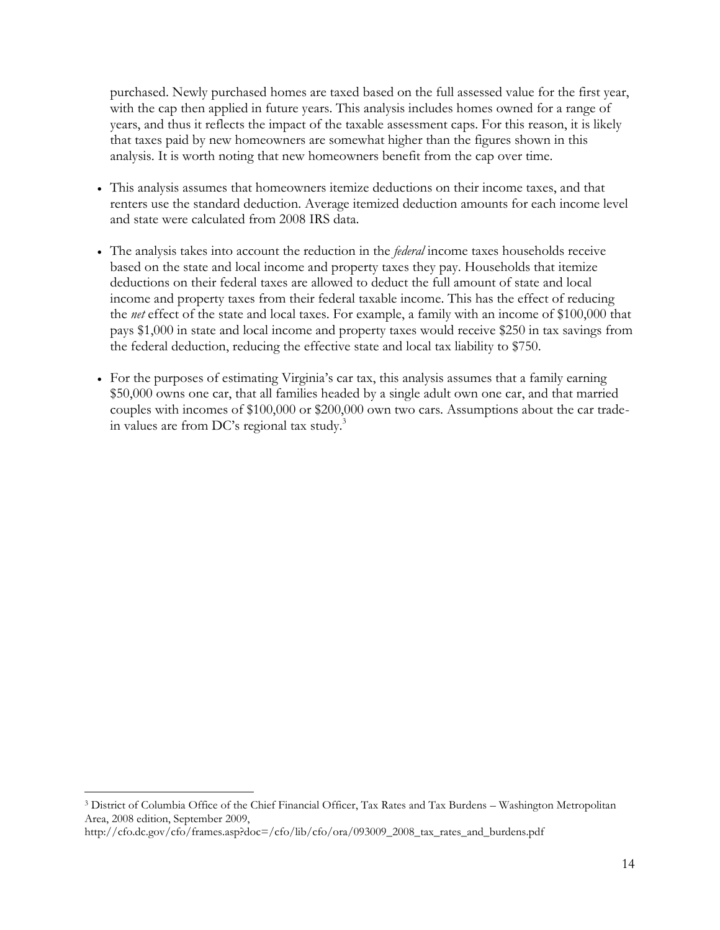purchased. Newly purchased homes are taxed based on the full assessed value for the first year, with the cap then applied in future years. This analysis includes homes owned for a range of years, and thus it reflects the impact of the taxable assessment caps. For this reason, it is likely that taxes paid by new homeowners are somewhat higher than the figures shown in this analysis. It is worth noting that new homeowners benefit from the cap over time.

- This analysis assumes that homeowners itemize deductions on their income taxes, and that renters use the standard deduction. Average itemized deduction amounts for each income level and state were calculated from 2008 IRS data.
- The analysis takes into account the reduction in the *federal* income taxes households receive based on the state and local income and property taxes they pay. Households that itemize deductions on their federal taxes are allowed to deduct the full amount of state and local income and property taxes from their federal taxable income. This has the effect of reducing the *net* effect of the state and local taxes. For example, a family with an income of \$100,000 that pays \$1,000 in state and local income and property taxes would receive \$250 in tax savings from the federal deduction, reducing the effective state and local tax liability to \$750.
- For the purposes of estimating Virginia's car tax, this analysis assumes that a family earning \$50,000 owns one car, that all families headed by a single adult own one car, and that married couples with incomes of \$100,000 or \$200,000 own two cars. Assumptions about the car tradein values are from DC's regional tax study. $3$

 $\overline{a}$ 

<sup>3</sup> District of Columbia Office of the Chief Financial Officer, Tax Rates and Tax Burdens – Washington Metropolitan Area, 2008 edition, September 2009,

http://cfo.dc.gov/cfo/frames.asp?doc=/cfo/lib/cfo/ora/093009\_2008\_tax\_rates\_and\_burdens.pdf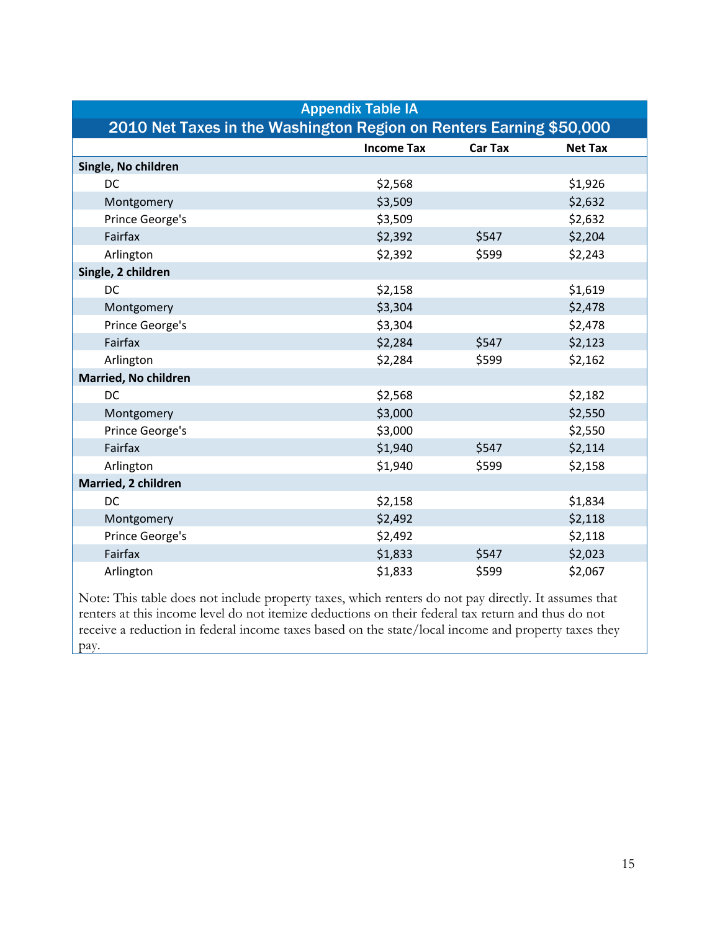| <b>Appendix Table IA</b>                                            |                   |                |                |  |  |
|---------------------------------------------------------------------|-------------------|----------------|----------------|--|--|
| 2010 Net Taxes in the Washington Region on Renters Earning \$50,000 |                   |                |                |  |  |
|                                                                     | <b>Income Tax</b> | <b>Car Tax</b> | <b>Net Tax</b> |  |  |
| Single, No children                                                 |                   |                |                |  |  |
| <b>DC</b>                                                           | \$2,568           |                | \$1,926        |  |  |
| Montgomery                                                          | \$3,509           |                | \$2,632        |  |  |
| Prince George's                                                     | \$3,509           |                | \$2,632        |  |  |
| Fairfax                                                             | \$2,392           | \$547          | \$2,204        |  |  |
| Arlington                                                           | \$2,392           | \$599          | \$2,243        |  |  |
| Single, 2 children                                                  |                   |                |                |  |  |
| DC                                                                  | \$2,158           |                | \$1,619        |  |  |
| Montgomery                                                          | \$3,304           |                | \$2,478        |  |  |
| Prince George's                                                     | \$3,304           |                | \$2,478        |  |  |
| Fairfax                                                             | \$2,284           | \$547          | \$2,123        |  |  |
| Arlington                                                           | \$2,284           | \$599          | \$2,162        |  |  |
| Married, No children                                                |                   |                |                |  |  |
| <b>DC</b>                                                           | \$2,568           |                | \$2,182        |  |  |
| Montgomery                                                          | \$3,000           |                | \$2,550        |  |  |
| Prince George's                                                     | \$3,000           |                | \$2,550        |  |  |
| Fairfax                                                             | \$1,940           | \$547          | \$2,114        |  |  |
| Arlington                                                           | \$1,940           | \$599          | \$2,158        |  |  |
| Married, 2 children                                                 |                   |                |                |  |  |
| <b>DC</b>                                                           | \$2,158           |                | \$1,834        |  |  |
| Montgomery                                                          | \$2,492           |                | \$2,118        |  |  |
| Prince George's                                                     | \$2,492           |                | \$2,118        |  |  |
| Fairfax                                                             | \$1,833           | \$547          | \$2,023        |  |  |
| Arlington                                                           | \$1,833           | \$599          | \$2,067        |  |  |

Note: This table does not include property taxes, which renters do not pay directly. It assumes that renters at this income level do not itemize deductions on their federal tax return and thus do not receive a reduction in federal income taxes based on the state/local income and property taxes they pay.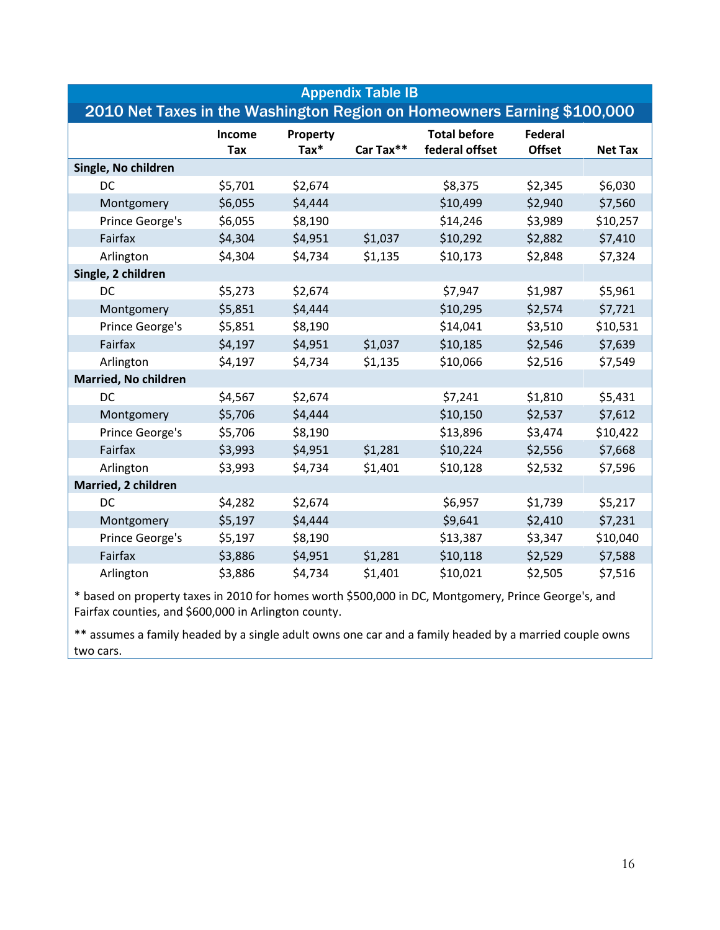| <b>Appendix Table IB</b>                                                |                      |                           |           |                                       |                                 |                |
|-------------------------------------------------------------------------|----------------------|---------------------------|-----------|---------------------------------------|---------------------------------|----------------|
| 2010 Net Taxes in the Washington Region on Homeowners Earning \$100,000 |                      |                           |           |                                       |                                 |                |
|                                                                         | Income<br><b>Tax</b> | Property<br>$\text{Tax*}$ | Car Tax** | <b>Total before</b><br>federal offset | <b>Federal</b><br><b>Offset</b> | <b>Net Tax</b> |
| Single, No children                                                     |                      |                           |           |                                       |                                 |                |
| DC                                                                      | \$5,701              | \$2,674                   |           | \$8,375                               | \$2,345                         | \$6,030        |
| Montgomery                                                              | \$6,055              | \$4,444                   |           | \$10,499                              | \$2,940                         | \$7,560        |
| Prince George's                                                         | \$6,055              | \$8,190                   |           | \$14,246                              | \$3,989                         | \$10,257       |
| Fairfax                                                                 | \$4,304              | \$4,951                   | \$1,037   | \$10,292                              | \$2,882                         | \$7,410        |
| Arlington                                                               | \$4,304              | \$4,734                   | \$1,135   | \$10,173                              | \$2,848                         | \$7,324        |
| Single, 2 children                                                      |                      |                           |           |                                       |                                 |                |
| DC                                                                      | \$5,273              | \$2,674                   |           | \$7,947                               | \$1,987                         | \$5,961        |
| Montgomery                                                              | \$5,851              | \$4,444                   |           | \$10,295                              | \$2,574                         | \$7,721        |
| Prince George's                                                         | \$5,851              | \$8,190                   |           | \$14,041                              | \$3,510                         | \$10,531       |
| Fairfax                                                                 | \$4,197              | \$4,951                   | \$1,037   | \$10,185                              | \$2,546                         | \$7,639        |
| Arlington                                                               | \$4,197              | \$4,734                   | \$1,135   | \$10,066                              | \$2,516                         | \$7,549        |
| <b>Married, No children</b>                                             |                      |                           |           |                                       |                                 |                |
| DC                                                                      | \$4,567              | \$2,674                   |           | \$7,241                               | \$1,810                         | \$5,431        |
| Montgomery                                                              | \$5,706              | \$4,444                   |           | \$10,150                              | \$2,537                         | \$7,612        |
| Prince George's                                                         | \$5,706              | \$8,190                   |           | \$13,896                              | \$3,474                         | \$10,422       |
| Fairfax                                                                 | \$3,993              | \$4,951                   | \$1,281   | \$10,224                              | \$2,556                         | \$7,668        |
| Arlington                                                               | \$3,993              | \$4,734                   | \$1,401   | \$10,128                              | \$2,532                         | \$7,596        |
| Married, 2 children                                                     |                      |                           |           |                                       |                                 |                |
| DC                                                                      | \$4,282              | \$2,674                   |           | \$6,957                               | \$1,739                         | \$5,217        |
| Montgomery                                                              | \$5,197              | \$4,444                   |           | \$9,641                               | \$2,410                         | \$7,231        |
| Prince George's                                                         | \$5,197              | \$8,190                   |           | \$13,387                              | \$3,347                         | \$10,040       |
| Fairfax                                                                 | \$3,886              | \$4,951                   | \$1,281   | \$10,118                              | \$2,529                         | \$7,588        |
| Arlington                                                               | \$3,886              | \$4,734                   | \$1,401   | \$10,021                              | \$2,505                         | \$7,516        |

\* based on property taxes in 2010 for homes worth \$500,000 in DC, Montgomery, Prince George's, and Fairfax counties, and \$600,000 in Arlington county.

\*\* assumes a family headed by a single adult owns one car and a family headed by a married couple owns two cars.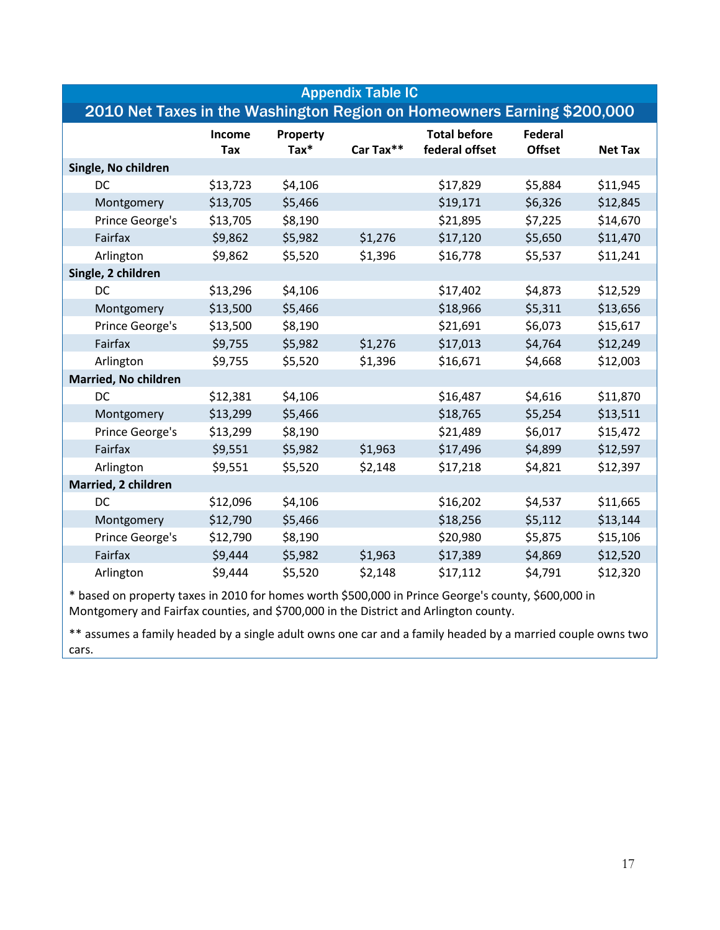| <b>Appendix Table IC</b>                                                |               |                     |           |                                       |                                 |                |
|-------------------------------------------------------------------------|---------------|---------------------|-----------|---------------------------------------|---------------------------------|----------------|
| 2010 Net Taxes in the Washington Region on Homeowners Earning \$200,000 |               |                     |           |                                       |                                 |                |
|                                                                         | Income<br>Tax | Property<br>$Tax^*$ | Car Tax** | <b>Total before</b><br>federal offset | <b>Federal</b><br><b>Offset</b> | <b>Net Tax</b> |
| Single, No children                                                     |               |                     |           |                                       |                                 |                |
| DC                                                                      | \$13,723      | \$4,106             |           | \$17,829                              | \$5,884                         | \$11,945       |
| Montgomery                                                              | \$13,705      | \$5,466             |           | \$19,171                              | \$6,326                         | \$12,845       |
| Prince George's                                                         | \$13,705      | \$8,190             |           | \$21,895                              | \$7,225                         | \$14,670       |
| Fairfax                                                                 | \$9,862       | \$5,982             | \$1,276   | \$17,120                              | \$5,650                         | \$11,470       |
| Arlington                                                               | \$9,862       | \$5,520             | \$1,396   | \$16,778                              | \$5,537                         | \$11,241       |
| Single, 2 children                                                      |               |                     |           |                                       |                                 |                |
| DC                                                                      | \$13,296      | \$4,106             |           | \$17,402                              | \$4,873                         | \$12,529       |
| Montgomery                                                              | \$13,500      | \$5,466             |           | \$18,966                              | \$5,311                         | \$13,656       |
| Prince George's                                                         | \$13,500      | \$8,190             |           | \$21,691                              | \$6,073                         | \$15,617       |
| Fairfax                                                                 | \$9,755       | \$5,982             | \$1,276   | \$17,013                              | \$4,764                         | \$12,249       |
| Arlington                                                               | \$9,755       | \$5,520             | \$1,396   | \$16,671                              | \$4,668                         | \$12,003       |
| Married, No children                                                    |               |                     |           |                                       |                                 |                |
| DC                                                                      | \$12,381      | \$4,106             |           | \$16,487                              | \$4,616                         | \$11,870       |
| Montgomery                                                              | \$13,299      | \$5,466             |           | \$18,765                              | \$5,254                         | \$13,511       |
| Prince George's                                                         | \$13,299      | \$8,190             |           | \$21,489                              | \$6,017                         | \$15,472       |
| Fairfax                                                                 | \$9,551       | \$5,982             | \$1,963   | \$17,496                              | \$4,899                         | \$12,597       |
| Arlington                                                               | \$9,551       | \$5,520             | \$2,148   | \$17,218                              | \$4,821                         | \$12,397       |
| Married, 2 children                                                     |               |                     |           |                                       |                                 |                |
| DC                                                                      | \$12,096      | \$4,106             |           | \$16,202                              | \$4,537                         | \$11,665       |
| Montgomery                                                              | \$12,790      | \$5,466             |           | \$18,256                              | \$5,112                         | \$13,144       |
| Prince George's                                                         | \$12,790      | \$8,190             |           | \$20,980                              | \$5,875                         | \$15,106       |
| Fairfax                                                                 | \$9,444       | \$5,982             | \$1,963   | \$17,389                              | \$4,869                         | \$12,520       |
| Arlington                                                               | \$9,444       | \$5,520             | \$2,148   | \$17,112                              | \$4,791                         | \$12,320       |

\* based on property taxes in 2010 for homes worth \$500,000 in Prince George's county, \$600,000 in Montgomery and Fairfax counties, and \$700,000 in the District and Arlington county.

\*\* assumes a family headed by a single adult owns one car and a family headed by a married couple owns two cars.